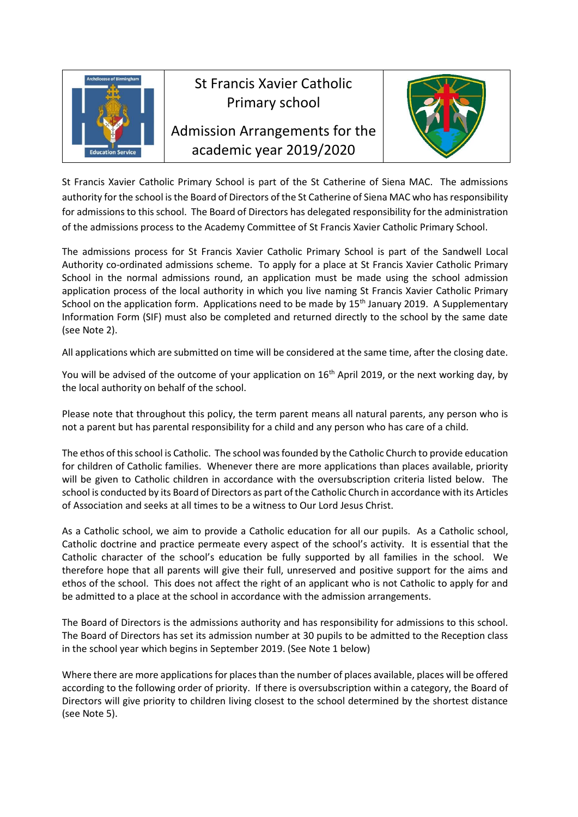

# St Francis Xavier Catholic Primary school

Admission Arrangements for the academic year 2019/2020



St Francis Xavier Catholic Primary School is part of the St Catherine of Siena MAC. The admissions authority for the school is the Board of Directors of the St Catherine of Siena MAC who has responsibility for admissions to this school. The Board of Directors has delegated responsibility for the administration of the admissions process to the Academy Committee of St Francis Xavier Catholic Primary School.

The admissions process for St Francis Xavier Catholic Primary School is part of the Sandwell Local Authority co-ordinated admissions scheme. To apply for a place at St Francis Xavier Catholic Primary School in the normal admissions round, an application must be made using the school admission application process of the local authority in which you live naming St Francis Xavier Catholic Primary School on the application form. Applications need to be made by 15<sup>th</sup> January 2019. A Supplementary Information Form (SIF) must also be completed and returned directly to the school by the same date (see Note 2).

All applications which are submitted on time will be considered at the same time, after the closing date.

You will be advised of the outcome of your application on 16<sup>th</sup> April 2019, or the next working day, by the local authority on behalf of the school.

Please note that throughout this policy, the term parent means all natural parents, any person who is not a parent but has parental responsibility for a child and any person who has care of a child.

The ethos of this school is Catholic. The school was founded by the Catholic Church to provide education for children of Catholic families. Whenever there are more applications than places available, priority will be given to Catholic children in accordance with the oversubscription criteria listed below. The school is conducted by its Board of Directors as part of the Catholic Church in accordance with its Articles of Association and seeks at all times to be a witness to Our Lord Jesus Christ.

As a Catholic school, we aim to provide a Catholic education for all our pupils. As a Catholic school, Catholic doctrine and practice permeate every aspect of the school's activity. It is essential that the Catholic character of the school's education be fully supported by all families in the school. We therefore hope that all parents will give their full, unreserved and positive support for the aims and ethos of the school. This does not affect the right of an applicant who is not Catholic to apply for and be admitted to a place at the school in accordance with the admission arrangements.

The Board of Directors is the admissions authority and has responsibility for admissions to this school. The Board of Directors has set its admission number at 30 pupils to be admitted to the Reception class in the school year which begins in September 2019. (See Note 1 below)

Where there are more applications for places than the number of places available, places will be offered according to the following order of priority. If there is oversubscription within a category, the Board of Directors will give priority to children living closest to the school determined by the shortest distance (see Note 5).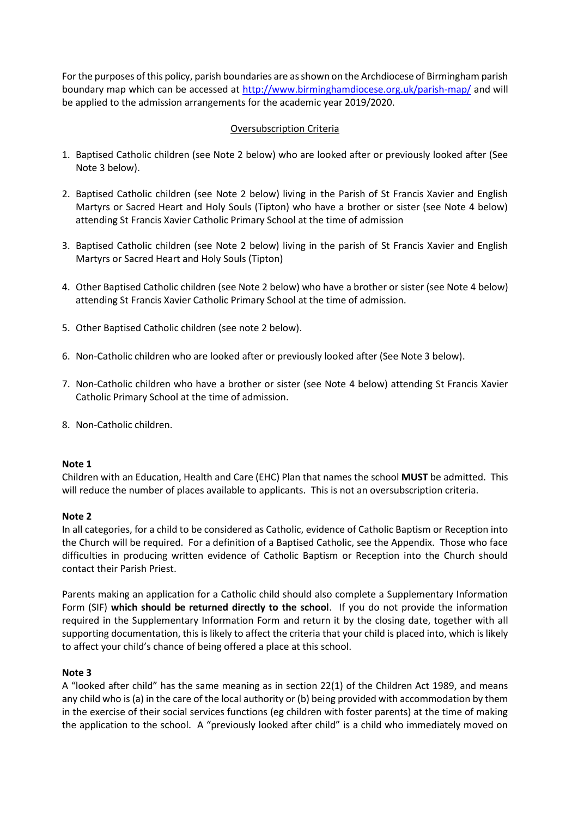For the purposes of this policy, parish boundaries are as shown on the Archdiocese of Birmingham parish boundary map which can be accessed at<http://www.birminghamdiocese.org.uk/parish-map/> and will be applied to the admission arrangements for the academic year 2019/2020.

## Oversubscription Criteria

- 1. Baptised Catholic children (see Note 2 below) who are looked after or previously looked after (See Note 3 below).
- 2. Baptised Catholic children (see Note 2 below) living in the Parish of St Francis Xavier and English Martyrs or Sacred Heart and Holy Souls (Tipton) who have a brother or sister (see Note 4 below) attending St Francis Xavier Catholic Primary School at the time of admission
- 3. Baptised Catholic children (see Note 2 below) living in the parish of St Francis Xavier and English Martyrs or Sacred Heart and Holy Souls (Tipton)
- 4. Other Baptised Catholic children (see Note 2 below) who have a brother or sister (see Note 4 below) attending St Francis Xavier Catholic Primary School at the time of admission.
- 5. Other Baptised Catholic children (see note 2 below).
- 6. Non-Catholic children who are looked after or previously looked after (See Note 3 below).
- 7. Non-Catholic children who have a brother or sister (see Note 4 below) attending St Francis Xavier Catholic Primary School at the time of admission.
- 8. Non-Catholic children.

#### **Note 1**

Children with an Education, Health and Care (EHC) Plan that names the school **MUST** be admitted. This will reduce the number of places available to applicants. This is not an oversubscription criteria.

#### **Note 2**

In all categories, for a child to be considered as Catholic, evidence of Catholic Baptism or Reception into the Church will be required. For a definition of a Baptised Catholic, see the Appendix. Those who face difficulties in producing written evidence of Catholic Baptism or Reception into the Church should contact their Parish Priest.

Parents making an application for a Catholic child should also complete a Supplementary Information Form (SIF) **which should be returned directly to the school**. If you do not provide the information required in the Supplementary Information Form and return it by the closing date, together with all supporting documentation, this is likely to affect the criteria that your child is placed into, which is likely to affect your child's chance of being offered a place at this school.

#### **Note 3**

A "looked after child" has the same meaning as in section 22(1) of the Children Act 1989, and means any child who is (a) in the care of the local authority or (b) being provided with accommodation by them in the exercise of their social services functions (eg children with foster parents) at the time of making the application to the school. A "previously looked after child" is a child who immediately moved on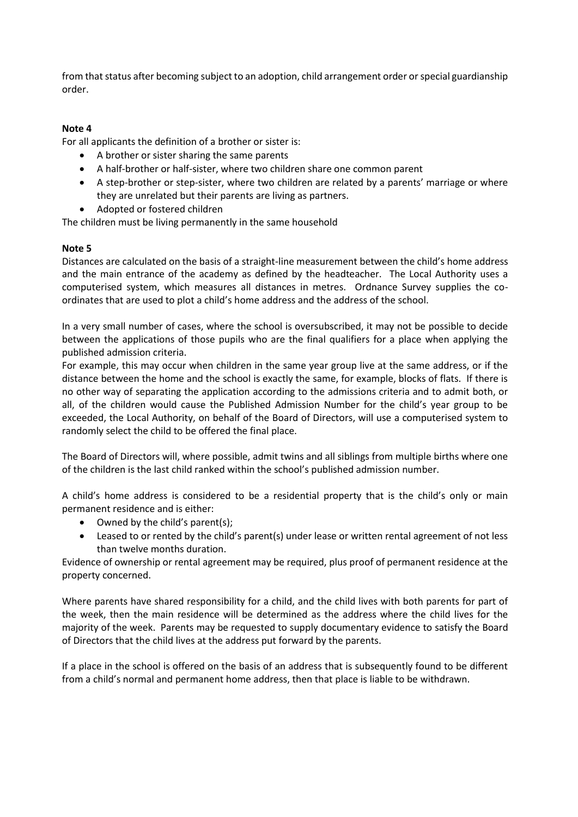from that status after becoming subject to an adoption, child arrangement order or special guardianship order.

## **Note 4**

For all applicants the definition of a brother or sister is:

- A brother or sister sharing the same parents
- A half-brother or half-sister, where two children share one common parent
- A step-brother or step-sister, where two children are related by a parents' marriage or where they are unrelated but their parents are living as partners.
- Adopted or fostered children

The children must be living permanently in the same household

## **Note 5**

Distances are calculated on the basis of a straight-line measurement between the child's home address and the main entrance of the academy as defined by the headteacher. The Local Authority uses a computerised system, which measures all distances in metres. Ordnance Survey supplies the coordinates that are used to plot a child's home address and the address of the school.

In a very small number of cases, where the school is oversubscribed, it may not be possible to decide between the applications of those pupils who are the final qualifiers for a place when applying the published admission criteria.

For example, this may occur when children in the same year group live at the same address, or if the distance between the home and the school is exactly the same, for example, blocks of flats. If there is no other way of separating the application according to the admissions criteria and to admit both, or all, of the children would cause the Published Admission Number for the child's year group to be exceeded, the Local Authority, on behalf of the Board of Directors, will use a computerised system to randomly select the child to be offered the final place.

The Board of Directors will, where possible, admit twins and all siblings from multiple births where one of the children is the last child ranked within the school's published admission number.

A child's home address is considered to be a residential property that is the child's only or main permanent residence and is either:

- Owned by the child's parent(s);
- Leased to or rented by the child's parent(s) under lease or written rental agreement of not less than twelve months duration.

Evidence of ownership or rental agreement may be required, plus proof of permanent residence at the property concerned.

Where parents have shared responsibility for a child, and the child lives with both parents for part of the week, then the main residence will be determined as the address where the child lives for the majority of the week. Parents may be requested to supply documentary evidence to satisfy the Board of Directors that the child lives at the address put forward by the parents.

If a place in the school is offered on the basis of an address that is subsequently found to be different from a child's normal and permanent home address, then that place is liable to be withdrawn.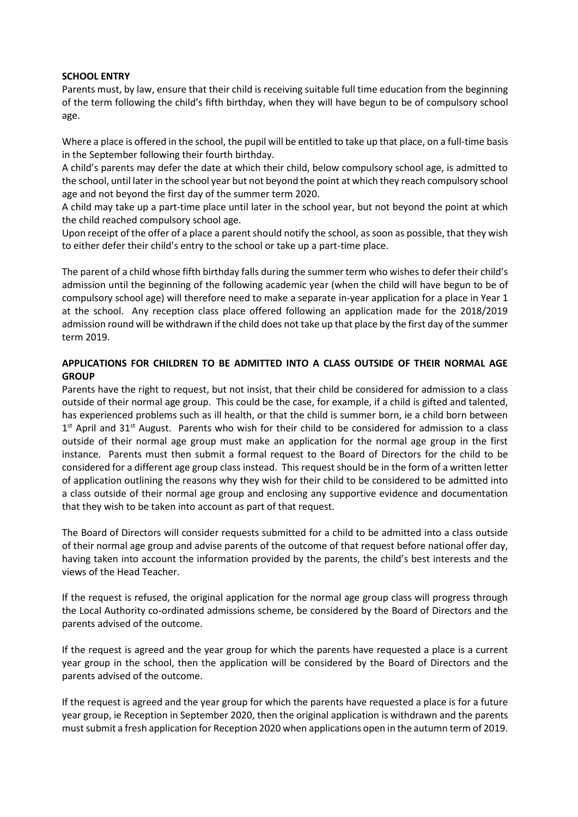#### **SCHOOL ENTRY**

Parents must, by law, ensure that their child is receiving suitable full time education from the beginning of the term following the child's fifth birthday, when they will have begun to be of compulsory school age.

Where a place is offered in the school, the pupil will be entitled to take up that place, on a full-time basis in the September following their fourth birthday.

A child's parents may defer the date at which their child, below compulsory school age, is admitted to the school, until later in the school year but not beyond the point at which they reach compulsory school age and not beyond the first day of the summer term 2020.

A child may take up a part-time place until later in the school year, but not beyond the point at which the child reached compulsory school age.

Upon receipt of the offer of a place a parent should notify the school, as soon as possible, that they wish to either defer their child's entry to the school or take up a part-time place.

The parent of a child whose fifth birthday falls during the summer term who wishes to defer their child's admission until the beginning of the following academic year (when the child will have begun to be of compulsory school age) will therefore need to make a separate in-year application for a place in Year 1 at the school. Any reception class place offered following an application made for the 2018/2019 admission round will be withdrawn if the child does not take up that place by the first day of the summer term 2019.

## **APPLICATIONS FOR CHILDREN TO BE ADMITTED INTO A CLASS OUTSIDE OF THEIR NORMAL AGE GROUP**

Parents have the right to request, but not insist, that their child be considered for admission to a class outside of their normal age group. This could be the case, for example, if a child is gifted and talented, has experienced problems such as ill health, or that the child is summer born, ie a child born between 1<sup>st</sup> April and 31<sup>st</sup> August. Parents who wish for their child to be considered for admission to a class outside of their normal age group must make an application for the normal age group in the first instance. Parents must then submit a formal request to the Board of Directors for the child to be considered for a different age group class instead. This request should be in the form of a written letter of application outlining the reasons why they wish for their child to be considered to be admitted into a class outside of their normal age group and enclosing any supportive evidence and documentation that they wish to be taken into account as part of that request.

The Board of Directors will consider requests submitted for a child to be admitted into a class outside of their normal age group and advise parents of the outcome of that request before national offer day, having taken into account the information provided by the parents, the child's best interests and the views of the Head Teacher.

If the request is refused, the original application for the normal age group class will progress through the Local Authority co-ordinated admissions scheme, be considered by the Board of Directors and the parents advised of the outcome.

If the request is agreed and the year group for which the parents have requested a place is a current year group in the school, then the application will be considered by the Board of Directors and the parents advised of the outcome.

If the request is agreed and the year group for which the parents have requested a place is for a future year group, ie Reception in September 2020, then the original application is withdrawn and the parents must submit a fresh application for Reception 2020 when applications open in the autumn term of 2019.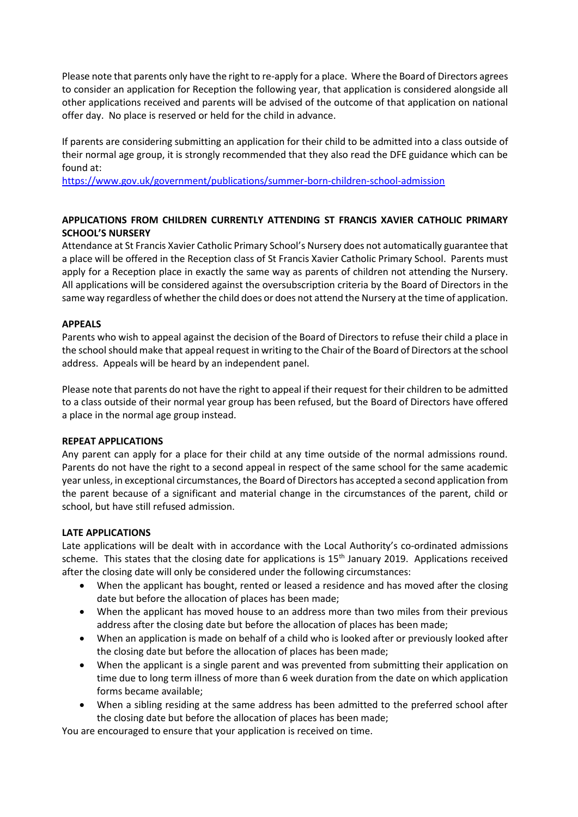Please note that parents only have the right to re-apply for a place. Where the Board of Directors agrees to consider an application for Reception the following year, that application is considered alongside all other applications received and parents will be advised of the outcome of that application on national offer day. No place is reserved or held for the child in advance.

If parents are considering submitting an application for their child to be admitted into a class outside of their normal age group, it is strongly recommended that they also read the DFE guidance which can be found at:

<https://www.gov.uk/government/publications/summer-born-children-school-admission>

## **APPLICATIONS FROM CHILDREN CURRENTLY ATTENDING ST FRANCIS XAVIER CATHOLIC PRIMARY SCHOOL'S NURSERY**

Attendance at St Francis Xavier Catholic Primary School's Nursery does not automatically guarantee that a place will be offered in the Reception class of St Francis Xavier Catholic Primary School. Parents must apply for a Reception place in exactly the same way as parents of children not attending the Nursery. All applications will be considered against the oversubscription criteria by the Board of Directors in the same way regardless of whether the child does or does not attend the Nursery at the time of application.

## **APPEALS**

Parents who wish to appeal against the decision of the Board of Directors to refuse their child a place in the school should make that appeal request in writing to the Chair of the Board of Directors at the school address. Appeals will be heard by an independent panel.

Please note that parents do not have the right to appeal if their request for their children to be admitted to a class outside of their normal year group has been refused, but the Board of Directors have offered a place in the normal age group instead.

## **REPEAT APPLICATIONS**

Any parent can apply for a place for their child at any time outside of the normal admissions round. Parents do not have the right to a second appeal in respect of the same school for the same academic year unless, in exceptional circumstances, the Board of Directors has accepted a second application from the parent because of a significant and material change in the circumstances of the parent, child or school, but have still refused admission.

## **LATE APPLICATIONS**

Late applications will be dealt with in accordance with the Local Authority's co-ordinated admissions scheme. This states that the closing date for applications is 15<sup>th</sup> January 2019. Applications received after the closing date will only be considered under the following circumstances:

- When the applicant has bought, rented or leased a residence and has moved after the closing date but before the allocation of places has been made;
- When the applicant has moved house to an address more than two miles from their previous address after the closing date but before the allocation of places has been made;
- When an application is made on behalf of a child who is looked after or previously looked after the closing date but before the allocation of places has been made;
- When the applicant is a single parent and was prevented from submitting their application on time due to long term illness of more than 6 week duration from the date on which application forms became available;
- When a sibling residing at the same address has been admitted to the preferred school after the closing date but before the allocation of places has been made;

You are encouraged to ensure that your application is received on time.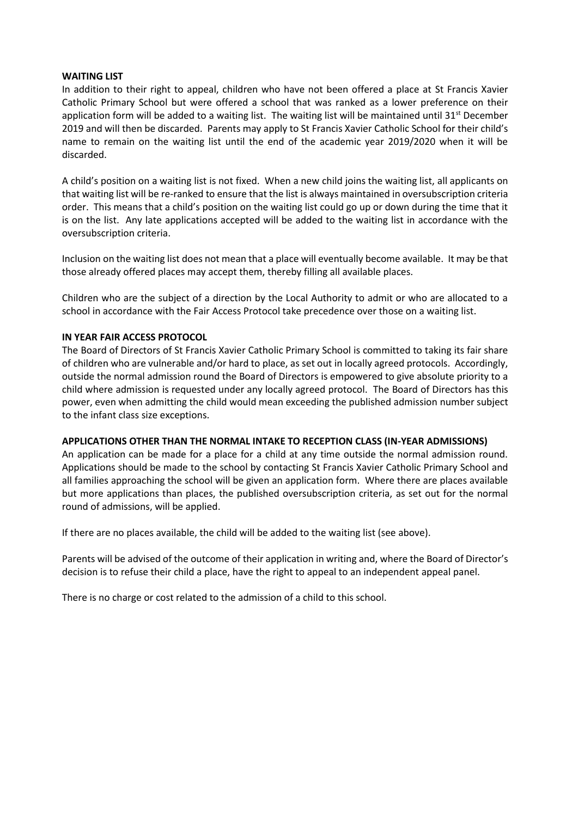#### **WAITING LIST**

In addition to their right to appeal, children who have not been offered a place at St Francis Xavier Catholic Primary School but were offered a school that was ranked as a lower preference on their application form will be added to a waiting list. The waiting list will be maintained until  $31<sup>st</sup>$  December 2019 and will then be discarded. Parents may apply to St Francis Xavier Catholic School for their child's name to remain on the waiting list until the end of the academic year 2019/2020 when it will be discarded.

A child's position on a waiting list is not fixed. When a new child joins the waiting list, all applicants on that waiting list will be re-ranked to ensure that the list is always maintained in oversubscription criteria order. This means that a child's position on the waiting list could go up or down during the time that it is on the list. Any late applications accepted will be added to the waiting list in accordance with the oversubscription criteria.

Inclusion on the waiting list does not mean that a place will eventually become available. It may be that those already offered places may accept them, thereby filling all available places.

Children who are the subject of a direction by the Local Authority to admit or who are allocated to a school in accordance with the Fair Access Protocol take precedence over those on a waiting list.

## **IN YEAR FAIR ACCESS PROTOCOL**

The Board of Directors of St Francis Xavier Catholic Primary School is committed to taking its fair share of children who are vulnerable and/or hard to place, as set out in locally agreed protocols. Accordingly, outside the normal admission round the Board of Directors is empowered to give absolute priority to a child where admission is requested under any locally agreed protocol. The Board of Directors has this power, even when admitting the child would mean exceeding the published admission number subject to the infant class size exceptions.

#### **APPLICATIONS OTHER THAN THE NORMAL INTAKE TO RECEPTION CLASS (IN-YEAR ADMISSIONS)**

An application can be made for a place for a child at any time outside the normal admission round. Applications should be made to the school by contacting St Francis Xavier Catholic Primary School and all families approaching the school will be given an application form. Where there are places available but more applications than places, the published oversubscription criteria, as set out for the normal round of admissions, will be applied.

If there are no places available, the child will be added to the waiting list (see above).

Parents will be advised of the outcome of their application in writing and, where the Board of Director's decision is to refuse their child a place, have the right to appeal to an independent appeal panel.

There is no charge or cost related to the admission of a child to this school.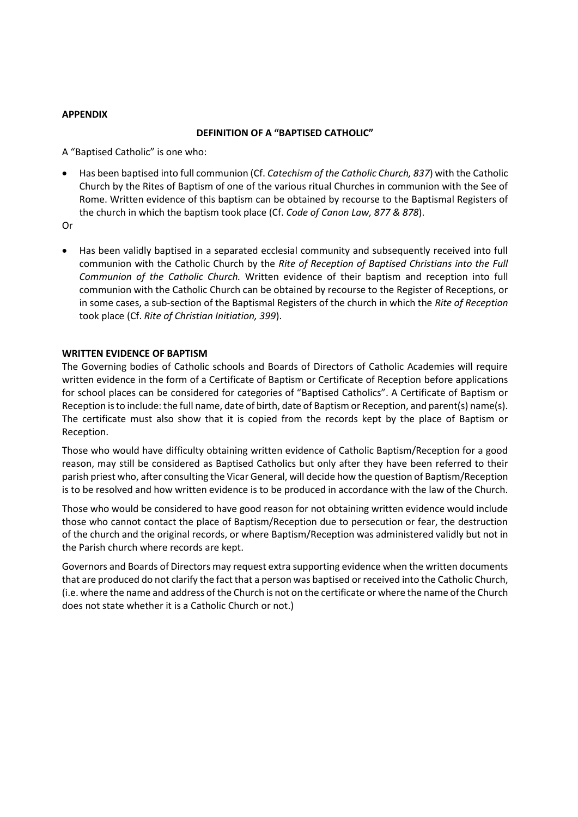#### **APPENDIX**

#### **DEFINITION OF A "BAPTISED CATHOLIC"**

A "Baptised Catholic" is one who:

• Has been baptised into full communion (Cf. *Catechism of the Catholic Church, 837*) with the Catholic Church by the Rites of Baptism of one of the various ritual Churches in communion with the See of Rome. Written evidence of this baptism can be obtained by recourse to the Baptismal Registers of the church in which the baptism took place (Cf. *Code of Canon Law, 877 & 878*).

Or

• Has been validly baptised in a separated ecclesial community and subsequently received into full communion with the Catholic Church by the *Rite of Reception of Baptised Christians into the Full Communion of the Catholic Church.* Written evidence of their baptism and reception into full communion with the Catholic Church can be obtained by recourse to the Register of Receptions, or in some cases, a sub-section of the Baptismal Registers of the church in which the *Rite of Reception* took place (Cf. *Rite of Christian Initiation, 399*).

#### **WRITTEN EVIDENCE OF BAPTISM**

The Governing bodies of Catholic schools and Boards of Directors of Catholic Academies will require written evidence in the form of a Certificate of Baptism or Certificate of Reception before applications for school places can be considered for categories of "Baptised Catholics". A Certificate of Baptism or Reception is to include: the full name, date of birth, date of Baptism or Reception, and parent(s) name(s). The certificate must also show that it is copied from the records kept by the place of Baptism or Reception.

Those who would have difficulty obtaining written evidence of Catholic Baptism/Reception for a good reason, may still be considered as Baptised Catholics but only after they have been referred to their parish priest who, after consulting the Vicar General, will decide how the question of Baptism/Reception is to be resolved and how written evidence is to be produced in accordance with the law of the Church.

Those who would be considered to have good reason for not obtaining written evidence would include those who cannot contact the place of Baptism/Reception due to persecution or fear, the destruction of the church and the original records, or where Baptism/Reception was administered validly but not in the Parish church where records are kept.

Governors and Boards of Directors may request extra supporting evidence when the written documents that are produced do not clarify the fact that a person was baptised or received into the Catholic Church, (i.e. where the name and address of the Church is not on the certificate or where the name of the Church does not state whether it is a Catholic Church or not.)